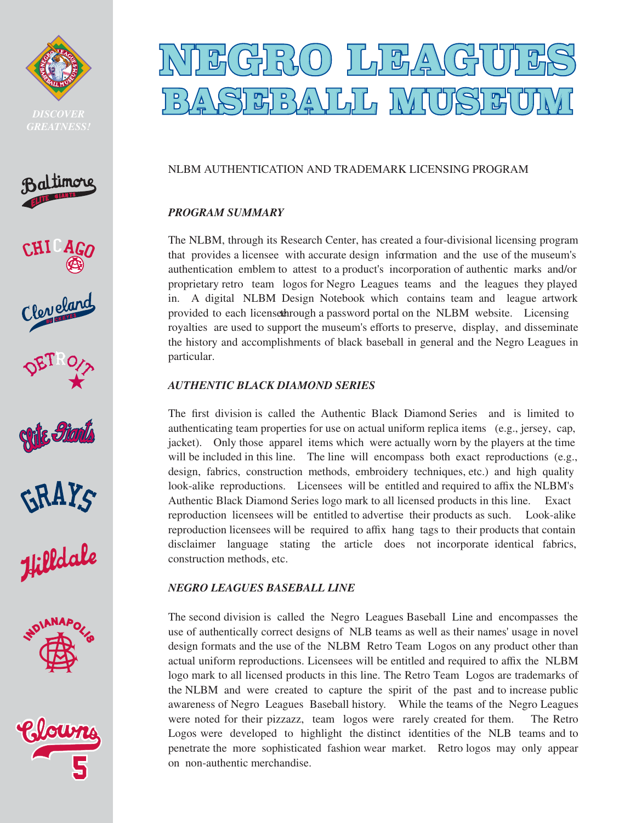



















# GBR(0) ]더퍼스\ **DISCOVER 1845151515151616161615151**

## NLBM AUTHENTICATION AND TRADEMARK LICENSING PROGRAM

## *PROGRAM SUMMARY*

The NLBM, through its Research Center, has created a four-divisional licensing program that provides a licensee with accurate design information and the use of the museum's authentication emblem to attest to a product's incorporation of authentic marks and/or proprietary retro team logos for Negro Leagues teams and the leagues they played in. A digital NLBM Design Notebook which contains team and league artwork provided to each licensethrough a password portal on the NLBM website. Licensing royalties are used to support the museum's efforts to preserve, display, and disseminate the history and accomplishments of black baseball in general and the Negro Leagues in particular.

## *AUTHENTIC BLACK DIAMOND SERIES*

The first division is called the Authentic Black Diamond Series and is limited to authenticating team properties for use on actual uniform replica items (e.g., jersey, cap, jacket). Only those apparel items which were actually worn by the players at the time will be included in this line. The line will encompass both exact reproductions (e.g., design, fabrics, construction methods, embroidery techniques, etc.) and high quality look-alike reproductions. Licensees will be entitled and required to affix the NLBM's Authentic Black Diamond Series logo mark to all licensed products in this line. Exact reproduction licensees will be entitled to advertise their products as such. Look-alike reproduction licensees will be required to affix hang tags to their products that contain disclaimer language stating the article does not incorporate identical fabrics, construction methods, etc.

#### *NEGRO LEAGUES BASEBALL LINE*

The second division is called the Negro Leagues Baseball Line and encompasses the use of authentically correct designs of NLB teams as well as their names' usage in novel design formats and the use of the NLBM Retro Team Logos on any product other than actual uniform reproductions. Licensees will be entitled and required to affix the NLBM logo mark to all licensed products in this line. The Retro Team Logos are trademarks of the NLBM and were created to capture the spirit of the past and to increase public awareness of Negro Leagues Baseball history. While the teams of the Negro Leagues were noted for their pizzazz, team logos were rarely created for them. The Retro Logos were developed to highlight the distinct identities of the NLB teams and to penetrate the more sophisticated fashion wear market. Retro logos may only appear on non-authentic merchandise.